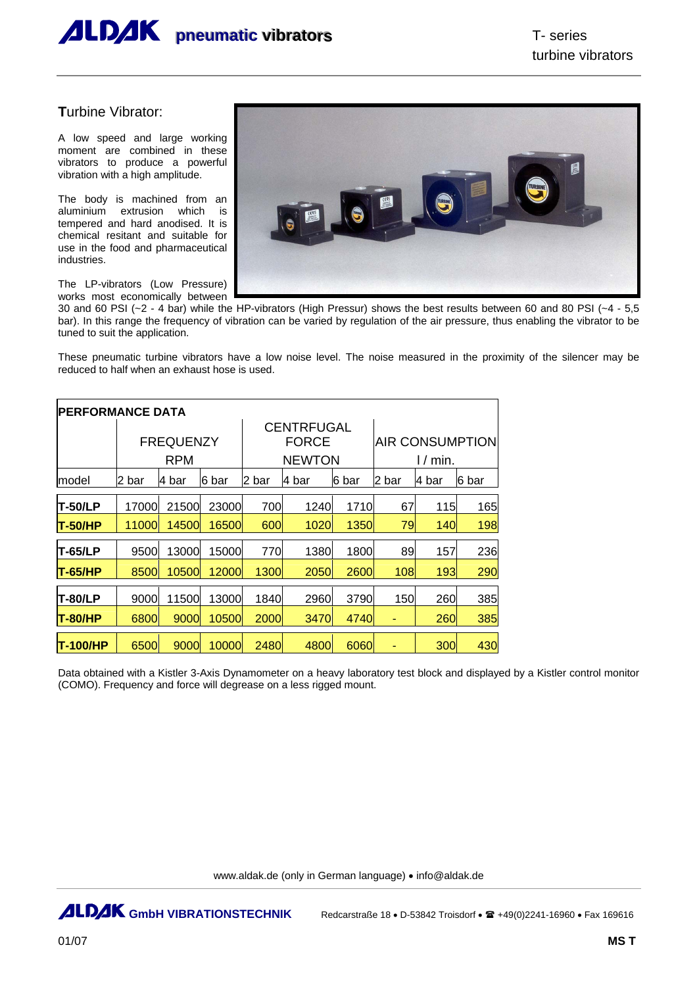

## **T**urbine Vibrator:

A low speed and large working moment are combined in these vibrators to produce a powerful vibration with a high amplitude.

The body is machined from an aluminium extrusion which is tempered and hard anodised. It is chemical resitant and suitable for use in the food and pharmaceutical industries.

The LP-vibrators (Low Pressure) works most economically between



30 and 60 PSI ( $-2$  - 4 bar) while the HP-vibrators (High Pressur) shows the best results between 60 and 80 PSI ( $-4$  - 5,5 bar). In this range the frequency of vibration can be varied by regulation of the air pressure, thus enabling the vibrator to be tuned to suit the application.

These pneumatic turbine vibrators have a low noise level. The noise measured in the proximity of the silencer may be reduced to half when an exhaust hose is used.

| <b>PERFORMANCE DATA</b> |        |                  |       |             |                   |       |                        |        |        |  |  |  |
|-------------------------|--------|------------------|-------|-------------|-------------------|-------|------------------------|--------|--------|--|--|--|
|                         |        |                  |       |             | <b>CENTRFUGAL</b> |       |                        |        |        |  |  |  |
|                         |        | <b>FREQUENZY</b> |       |             | <b>FORCE</b>      |       | <b>AIR CONSUMPTION</b> |        |        |  |  |  |
|                         |        | <b>RPM</b>       |       |             | <b>NEWTON</b>     |       | $1/m$ in.              |        |        |  |  |  |
| model                   | l2 bar | 4 bar            | 6 bar | l2 bar      | l4 bar            | 6 bar | l2 bar                 | l4 bar | l6 bar |  |  |  |
| <b>T-50/LP</b>          | 17000  | 21500            | 23000 | 700         | 1240              | 1710  | 67                     | 115    | 165    |  |  |  |
| IT-50/HP                | 11000l | 14500            | 16500 | 600         | 1020              | 1350  | 79                     | 140    | 198    |  |  |  |
| <b>T-65/LP</b>          | 9500   | 13000            | 15000 | 770         | 1380              | 1800  | 89                     | 157    | 236    |  |  |  |
| T-65/HP                 | 8500   | 10500            | 12000 | <b>1300</b> | 2050              | 2600  | 108                    | 193    | 290    |  |  |  |
| <b>T-80/LP</b>          | 9000   | 11500            | 13000 | 1840        | 2960              | 3790  | 150                    | 260    | 385    |  |  |  |
| <b>T-80/HP</b>          | 6800   | 9000             | 10500 | <b>2000</b> | 3470              | 4740  | ٠                      | 260    | 385    |  |  |  |
| T-100/HP                | 6500   | 9000             | 10000 | 2480        | 4800              | 6060  |                        | 300    | 430    |  |  |  |

Data obtained with a Kistler 3-Axis Dynamometer on a heavy laboratory test block and displayed by a Kistler control monitor (COMO). Frequency and force will degrease on a less rigged mount.

www.aldak.de (only in German language) • info@aldak.de

**ALDAK GmbH VIBRATIONSTECHNIK** Redcarstraße 18 • D-53842 Troisdorf •  $\mathbf{\mathbb{R}}$  +49(0)2241-16960 • Fax 169616